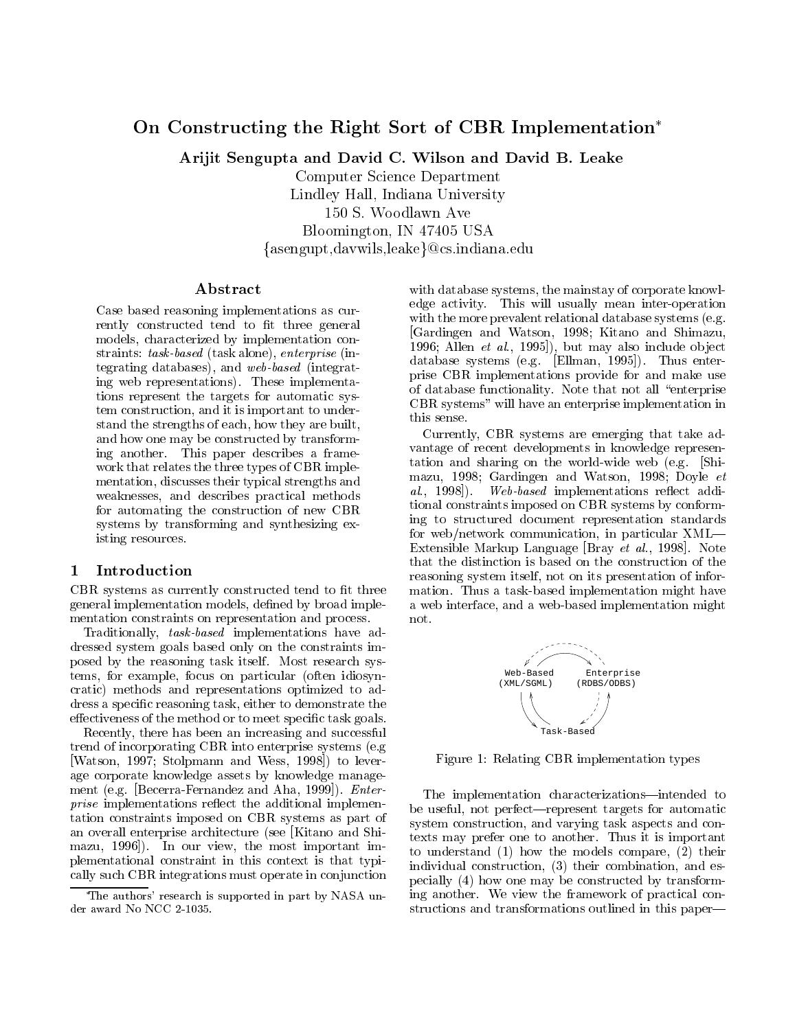# On Constructing the Right Sort of CBR Implementation

Arijit Sengupta and David C. Wilson and David B. Leake

Computer Science Department

Lindley Hall, Indiana University

150 S. Woodlawn Ave

Bloomington, IN 47405 USA

 $\{asengupt, davwils, leake\}$ @cs.indiana.edu

#### A bstract

Case based reasoning implementations as currently constructed tend to fit three general models, characterized by implementation constraints: task-based (task alone), enterprise (integrating databases), and web-based (integrating web representations). These implementations represent the targets for automatic system construction, and it is important to understand the strengths of each, how they are built, and how one may be constructed by transforming another. This paper describes a frame work that relates the three types of CBR implementation, discusses their typical strengths and  $\begin{bmatrix} \text{maxu}, & 1998 \\ \text{maxu}, & 1998 \end{bmatrix}$ . weaknesses, and describes practical methods for automating the construction of new CBR systems by transforming and synthesizing existing resources.

#### $\mathbf 1$ **Introduction**

CBR systems as currently constructed tend to fit three  $\sigma$  - and implementation models, denote by broad implementation  $\sigma$ mentation constraints on representation and process.

Traditionally, task-based implementations have addressed system goals based only on the constraints imposed by the reasoning task itself. Most research systems, for example, focus on particular (often idiosyncratic) methods and representations optimized to address a specic reasoning task, either to demonstrate the effectiveness of the method or to meet specific task goals.

Recently, there has been an increasing and successful trend of incorporating CBR into enterprise systems (e.g [Watson, 1997; Stolpmann and Wess, 1998]) to leverage corporate knowledge assets by knowledge management (e.g. [Becerra-Fernandez and Aha, 1999]). Enterprise implementations reflect the additional implementation constraints imposed on CBR systems as part of an overall enterprise architecture (see [Kitano and Shimazu, 1996]). In our view, the most important implementational constraint in this context is that typically such CBR integrations must operate in conjunction with database systems, the mainstay of corporate knowledge activity. This will usually mean inter-operation with the more prevalent relational database systems (e.g. [Gardingen and Watson, 1998; Kitano and Shimazu, 1996; Allen *et al.*, 1995), but may also include object database systems (e.g. [Ellman, 1995]). Thus enterprise CBR implementations provide for and make use of database functionality. Note that not all "enterprise CBR systems" will have an enterprise implementation in this sense.

Currently, CBR systems are emerging that take ad vantage of recent developments in knowledge representation and sharing on the world-wide web (e.g. [Shimazu, 1998; Gardingen and Watson, 1998; Doyle et Web-based implementations reflect additional constraints imposed on CBR systems by conforming to structured document representation standards for web/network communication, in particular  $XML$ — Extensible Markup Language [Bray et al., 1998]. Note that the distinction is based on the construction of the reasoning system itself, not on its presentation of information. Thus a task-based implementation might have a web interface, and a web-based implementation might not.



Figure 1: Relating CBR implementation types

The implementation characterizations-intended to be useful, not perfect—represent targets for automatic system construction, and varying task aspects and contexts may prefer one to another. Thus it is important to understand (1) how the models compare, (2) their individual construction, (3) their combination, and especially (4) how one may be constructed by transforming another. We view the framework of practical constructions and transformations outlined in this paper—

The authors' research is supported in part by NASA under award No NCC 2-1035.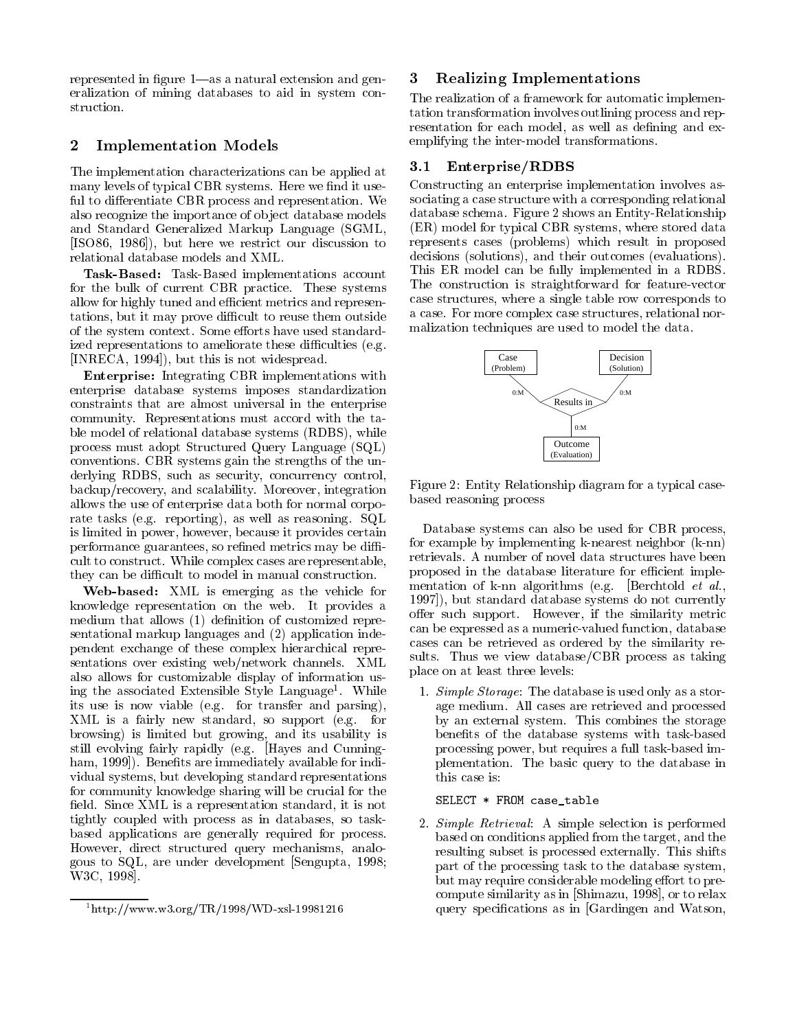represented in figure  $1$ —as a natural extension and generalization of mining databases to aid in system construction.

## 2 Implementation Models

The implementation characterizations can be applied at many levels of typical CBR systems. Here we find it useful to differentiate CBR process and representation. We also recognize the importance of ob ject database models and Standard Generalized Markup Language (SGML, [ISO86, 1986]), but here we restrict our discussion to relational database models and XML.

Task-Based: Task-Based implementations account for the bulk of current CBR practice. These systems allow for highly tuned and efficient metrics and representations, but it may prove difficult to reuse them outside of the system context. Some efforts have used standardized representations to ameliorate these difficulties (e.g. [INRECA, 1994]), but this is not widespread.

Enterprise: Integrating CBR implementations with enterprise database systems imposes standardization constraints that are almost universal in the enterprise community. Representations must accord with the table model of relational database systems (RDBS), while process must adopt Structured Query Language (SQL) conventions. CBR systems gain the strengths of the underlying RDBS, such as security, concurrency control, backup/recovery, and scalability. Moreover, integration allows the use of enterprise data both for normal corporate tasks (e.g. reporting), as well as reasoning. SQL is limited in power, however, because it provides certain performance guarantees, so refined metrics may be difficult to construct. While complex cases are representable, they can be difficult to model in manual construction.

 $\cdots$  based:  $\cdots$   $\cdots$  is extended as the vehicle for  $\cdots$ knowledge representation on the web. It provides a medium that allows (1) definition of customized representational markup languages and (2) application independent exchange of these complex hierarchical representations over existing web/network channels. XML also allows for customizable display of information us- $\ln g$  the associated Extensible Style Language . While  $1.$ its use is now viable (e.g. for transfer and parsing), XML is a fairly new standard, so support (e.g. for browsing) is limited but growing, and its usability is still evolving fairly rapidly (e.g. [Hayes and Cunningham, 1999). Benefits are immediately available for individual systems, but developing standard representations for community knowledge sharing will be crucial for the field. Since XML is a representation standard, it is not tightly coupled with process as in databases, so taskbased applications are generally required for process. However, direct structured query mechanisms, analogous to SQL, are under development [Sengupta, 1998; W3C, 1998].

## 3 Realizing Implementations

The realization of a framework for automatic implementation transformation involves outlining process and representation for each model, as well as defining and exemplifying the inter-model transformations.

#### 3.1 Enterprise/RDBS

Constructing an enterprise implementation involves associating a case structure with a corresponding relational database schema. Figure 2 shows an Entity-Relationship (ER) model for typical CBR systems, where stored data represents cases (problems) which result in proposed decisions (solutions), and their outcomes (evaluations). This ER model can be fully implemented in a RDBS. The construction is straightforward for feature-vector case structures, where a single table row corresponds to a case. For more complex case structures, relational normalization techniques are used to model the data.



Figure 2: Entity Relationship diagram for a typical casebased reasoning process

Database systems can also be used for CBR process, for example by implementing k-nearest neighbor (k-nn) retrievals. A number of novel data structures have been proposed in the database literature for efficient implementation of k-nn algorithms (e.g. [Berchtold et al., 1997]), but standard database systems do not currently offer such support. However, if the similarity metric can be expressed as a numeric-valued function, database cases can be retrieved as ordered by the similarity results. Thus we view database/CBR process as taking place on at least three levels:

1. Simple Storage: The database is used only as a storage medium. All cases are retrieved and processed by an external system. This combines the storage benefits of the database systems with task-based processing power, but requires a full task-based implementation. The basic query to the database in this case is:

#### SELECT \* FROM case\_table

2. Simple Retrieval: A simple selection is performed based on conditions applied from the target, and the resulting subset is processed externally. This shifts part of the processing task to the database system, but may require considerable modeling effort to precompute similarity as in [Shimazu, 1998], or to relax query specifications as in [Gardingen and Watson,

<sup>1</sup>http://www.w3.org/TR/1998/WD-xsl-19981216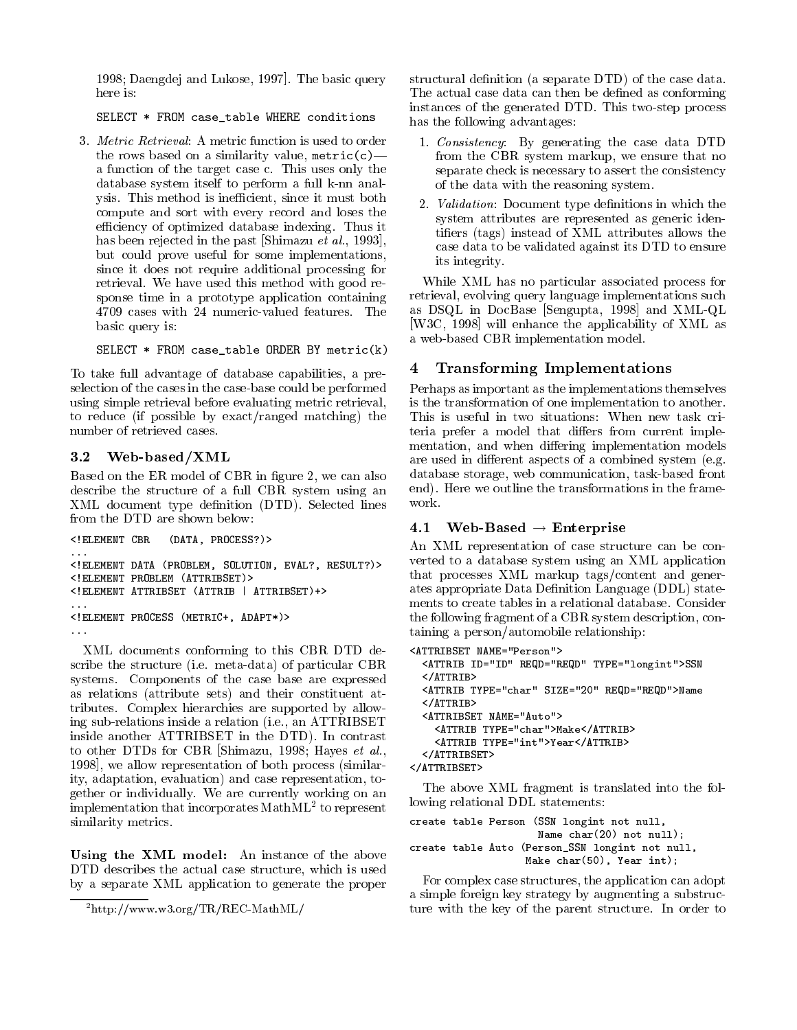1998; Daengdej and Lukose, 1997]. The basic query

SELECT \* FROM case table WHERE conditions select the case of the select where  $\sim$  from the conditions of the conditions of the conditions of the conditions of the conditions of the conditions of the conditions of the conditions of the conditions of the conditions

3. Metric Retrieval: A metric function is used to order the rows based on a similarity value,  $metric(c)$  a function of the target case c. This uses only the database system itself to perform a full k-nn analysis. This method is inefficient, since it must both compute and sort with every record and loses the efficiency of optimized database indexing. Thus it has been rejected in the past [Shimazu *et al.*, 1993], but could prove useful for some implementations, since it does not require additional processing for retrieval. We have used this method with good response time in a prototype application containing 4709 cases with 24 numeric-valued features. The basic query is:

SELECT \* FROM case\_table ORDER BY metric(k)

To take full advantage of database capabilities, a preselection of the cases in the case-base could be performed using simple retrieval before evaluating metric retrieval, to reduce (if possible by exact/ranged matching) the number of retrieved cases.

### 3.2 Web-based/XML

Based on the ER model of CBR in figure 2, we can also describe the structure of a full CBR system using an XML document type definition (DTD). Selected lines from the DTD are shown below:

```
<!ELEMENT CBR (DATA, PROCESS?)>
\ddots<!ELEMENT DATA (PROBLEM, SOLUTION, EVAL?, RESULT?)>
<!ELEMENT PROBLEM (ATTRIBSET)>
<!ELEMENT ATTRIBSET (ATTRIB | ATTRIBSET)+>
\sim \sim \sim<!ELEMENT PROCESS (METRIC+, ADAPT*)>
```
...XML documents conforming to this CBR DTD describe the structure (i.e. meta-data) of particular CBR systems. Components of the case base are expressed as relations (attribute sets) and their constituent attributes. Complex hierarchies are supported by allowing sub-relations inside a relation (i.e., an ATTRIBSET inside another ATTRIBSET in the DTD). In contrast to other DTDs for CBR [Shimazu, 1998; Hayes et al., 1998], we allow representation of both process (similarity, adaptation, evaluation) and case representation, together or individually. We are currently working on an implementation that incorporates MathML2 to represent similarity metrics.

Using the Anital motor that the County of the above of DTD describes the actual case structure, which is used by a separate XML application to generate the proper

structural definition (a separate DTD) of the case data. The actual case data can then be defined as conforming instances of the generated DTD. This two-step process has the following advantages:

- 1. Consistency: By generating the case data DTD from the CBR system markup, we ensure that no separate check is necessary to assert the consistency of the data with the reasoning system.
- 2. *Validation*: Document type definitions in which the system attributes are represented as generic identiers (tags) instead of XML attributes allows the case data to be validated against its DTD to ensure its integrity.

While XML has no particular associated process for retrieval, evolving query language implementations such as DSQL in DocBase [Sengupta, 1998] and XML-QL [W3C, 1998] will enhance the applicability of XML as a web-based CBR implementation model.

# 4 Transforming Implementations

Perhaps as important as the implementations themselves is the transformation of one implementation to another. teria prefer a model that differs from current implementation, and when differing implementation models are used in different aspects of a combined system (e.g. database storage, web communication, task-based front end). Here we outline the transformations in the frameend). Here we outline the transformations in the frame work.

### 4.1 Web-Based  $\rightarrow$  Enterprise

An XML representation of case structure can be con verted to a database system using an XML application that processes XML markup tags/content and generates appropriate Data Definition Language (DDL) statements to create tables in a relational database. Consider the following fragment of a CBR system description, containing a person/automobile relationship:

```
<ATTRIBSET NAME="Person">
   <ATTRIB ID="ID" REQD="REQD" TYPE="longint">SSN
   \langle/ATTRIB>
   attended to the contract of the contract of the contract of the contract of the contract of the contract of the contract of the contract of the contract of the contract of the contract of the contract of the contract of th
   <ATTRIB TYPE="char" SIZE="20" REQD="REQD">Name
   \langle ATTRIB><ATTRIBSET NAME="Auto">
       <ATTRIB TYPE="char">Make</ATTRIB>
       <ATTRIB TYPE="int">Year</ATTRIB>
   </ATTRIBSET>
</ATTRIBSET>
```
The above XML fragment is translated into the following relational DDL statements:

```
create table Person (SSN longint not null,
                     Name char(20) not null);
create table Auto (Person_SSN longint not null,
                  Make char(50), Year int);
```
For complex case structures, the application can adopt a simple foreign key strategy by augmenting a substructure with the key of the parent structure. In order to

 $^{2}$ http://www.w3.org/TR/REC-MathML/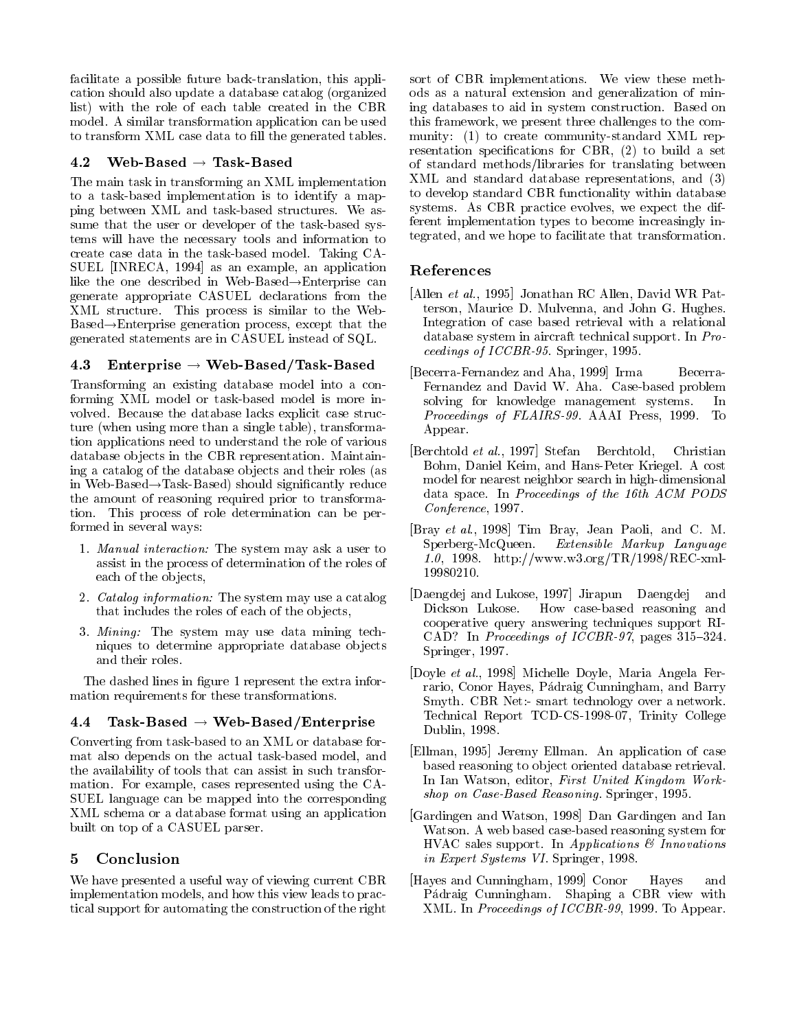facilitate a possible future back-translation, this application should also update a database catalog (organized list) with the role of each table created in the CBR model. A similar transformation application can be used to transform XML case data to fill the generated tables.

#### 4.2  $\text{Web-Based} \rightarrow \text{Task-Based}$

The main task in transforming an XML implementation to a task-based implementation is to identify a mapping between XML and task-based structures. We assume that the user or developer of the task-based systems will have the necessary tools and information to create case data in the task-based model. Taking CA-SUEL [INRECA, 1994] as an example, an application like the one described in Web-Based $\rightarrow$ Enterprise can generate appropriate CASUEL declarations from the XML structure. This process is similar to the Web- $Based \rightarrow$ Enterprise generation process, except that the generated statements are in CASUEL instead of SQL.

# 4.3 Enterprise  $\rightarrow$  Web-Based/Task-Based

Transforming an existing database model into a conforming XML model or task-based model is more in volved. Because the database lacks explicit case structure (when using more than a single table), transformation applications need to understand the role of various database ob jects in the CBR representation. Maintaining a catalog of the database ob jects and their roles (as in Web-Based $\rightarrow$ Task-Based) should significantly reduce the amount of reasoning required prior to transformation. This process of role determination can be performed in several ways:

- 1. Manual interaction: The system may ask a user to assist in the process of determination of the roles of each of the ob jects,
- 2. *Catalog information:* The system may use a catalog [Daengde] and Lukothat includes the roles of each of the objects [Dickson Lukose.] that includes the roles of each of the objects,
- 3. Mining: The system may use data mining techniques to determine appropriate database objects and their roles.

The dashed lines in figure 1 represent the extra information requirements for these transformations.

# 4.4 Task-Based  $\rightarrow$  Web-Based/Enterprise

Converting from task-based to an XML or database format also depends on the actual task-based model, and the availability of tools that can assist in such transformation. For example, cases represented using the CA-SUEL language can be mapped into the corresponding XML schema or a database format using an application built on top of a CASUEL parser.

## 5 Conclusion

We have presented a useful way of viewing current CBR implementation models, and how this view leads to practical support for automating the construction of the right sort of CBR implementations. We view these methods as a natural extension and generalization of mining databases to aid in system construction. Based on this framework, we present three challenges to the com munity: (1) to create community-standard XML representation specifications for CBR,  $(2)$  to build a set of standard methods/libraries for translating between XML and standard database representations, and (3) to develop standard CBR functionality within database systems. As CBR practice evolves, we expect the different implementation types to become increasingly integrated, and we hope to facilitate that transformation.

# References

- [Allen et al., 1995] Jonathan RC Allen, David WR Patterson, Maurice D. Mulvenna, and John G. Hughes. Integration of case based retrieval with a relational database system in aircraft technical support. In Proceedings of ICCBR-95. Springer, 1995.
- [Becerra-Fernandez and Aha, 1999] Irma Becerra-Fernandez and David W. Aha. Case-based problem solving for knowledge management systems. -In Proceedings of FLAIRS-99. AAAI Press, 1999. To Appear.
- [Berchtold et al., 1997] Stefan Berchtold, Christian Bohm, Daniel Keim, and Hans-Peter Kriegel. A cost model for nearest neighbor search in high-dimensional data space. In Proceedings of the 16th ACM PODS Conference, 1997.
- [Bray et al., 1998] Tim Bray, Jean Paoli, and C. M. Sperberg-McQueen. Extensible Markup Language 1.0, 1998. http://www.w3.org/TR/1998/REC-xml-19980210.
- [Daengdej and Lukose, 1997] Jirapun Daengdej and How case-based reasoning and cooperative query answering techniques support RI-CAD? In Proceedings of ICCBR-97, pages  $315-324$ . Springer, 1997.
- [Doyle et al., 1998] Michelle Doyle, Maria Angela Ferrario, Conor Hayes, Padraig Cunningham, and Barry Smyth. CBR Net:- smart technology over a network. Technical Report TCD-CS-1998-07, Trinity College Dublin, 1998.
- [Ellman, 1995] Jeremy Ellman. An application of case based reasoning to ob ject oriented database retrieval. In Ian Watson, editor, First United Kingdom Workshop on Case-Based Reasoning. Springer, 1995.
- [Gardingen and Watson, 1998] Dan Gardingen and Ian Watson. A web based case-based reasoning system for HVAC sales support. In Applications & Innovations in Expert Systems VI. Springer, 1998.
- [Hayes and Cunningham, 1999] Conor Hayes and Padraig Cunningham. Shaping a CBR view with XML. In Proceedings of ICCBR-99, 1999. To Appear.